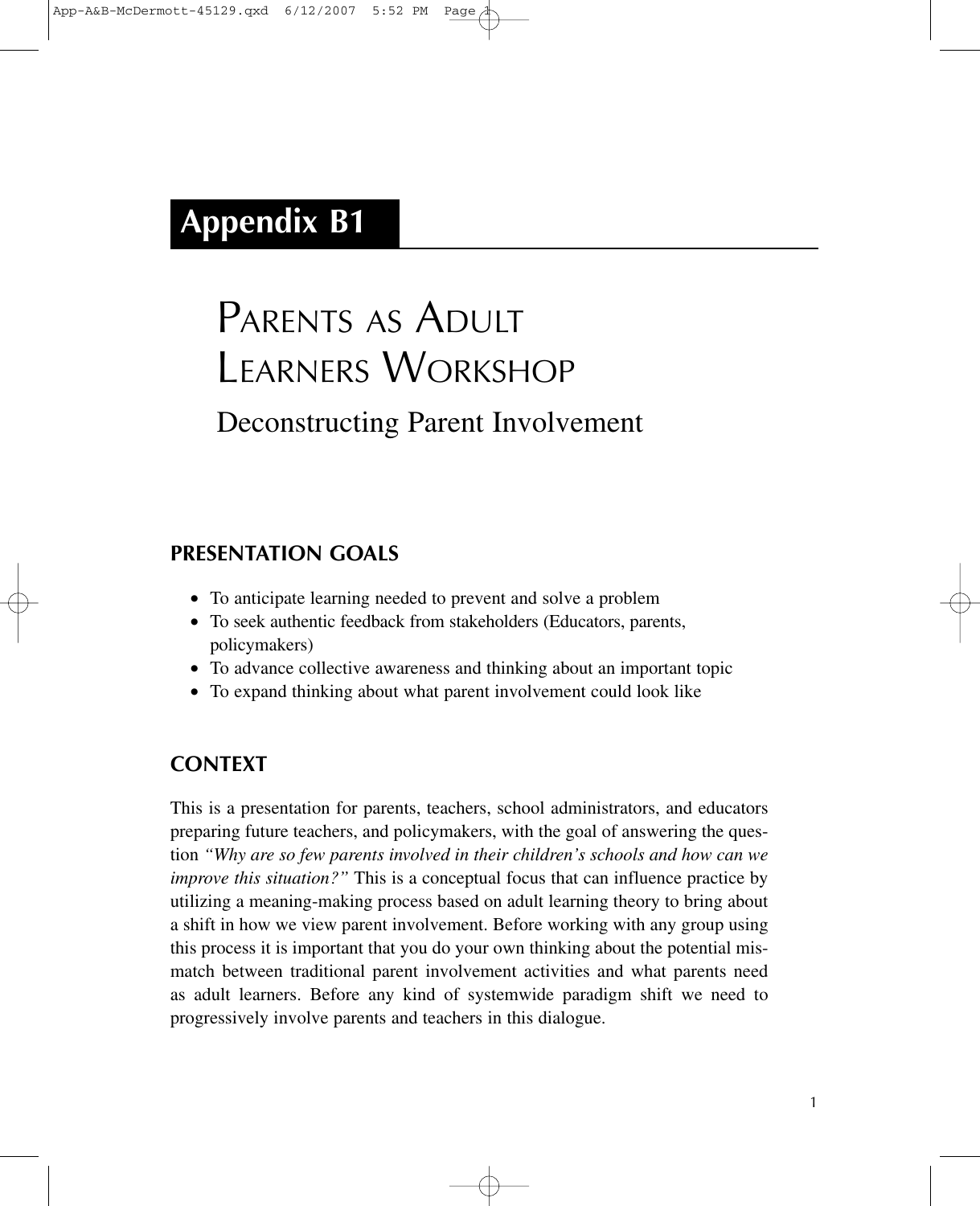## **Appendix B1**

# PARENTS AS ADULT LEARNERS WORKSHOP Deconstructing Parent Involvement

## **PRESENTATION GOALS**

- To anticipate learning needed to prevent and solve a problem
- To seek authentic feedback from stakeholders (Educators, parents, policymakers)
- To advance collective awareness and thinking about an important topic
- To expand thinking about what parent involvement could look like

## **CONTEXT**

This is a presentation for parents, teachers, school administrators, and educators preparing future teachers, and policymakers, with the goal of answering the question *"Why are so few parents involved in their children's schools and how can we improve this situation?"* This is a conceptual focus that can influence practice by utilizing a meaning-making process based on adult learning theory to bring about a shift in how we view parent involvement. Before working with any group using this process it is important that you do your own thinking about the potential mismatch between traditional parent involvement activities and what parents need as adult learners. Before any kind of systemwide paradigm shift we need to progressively involve parents and teachers in this dialogue.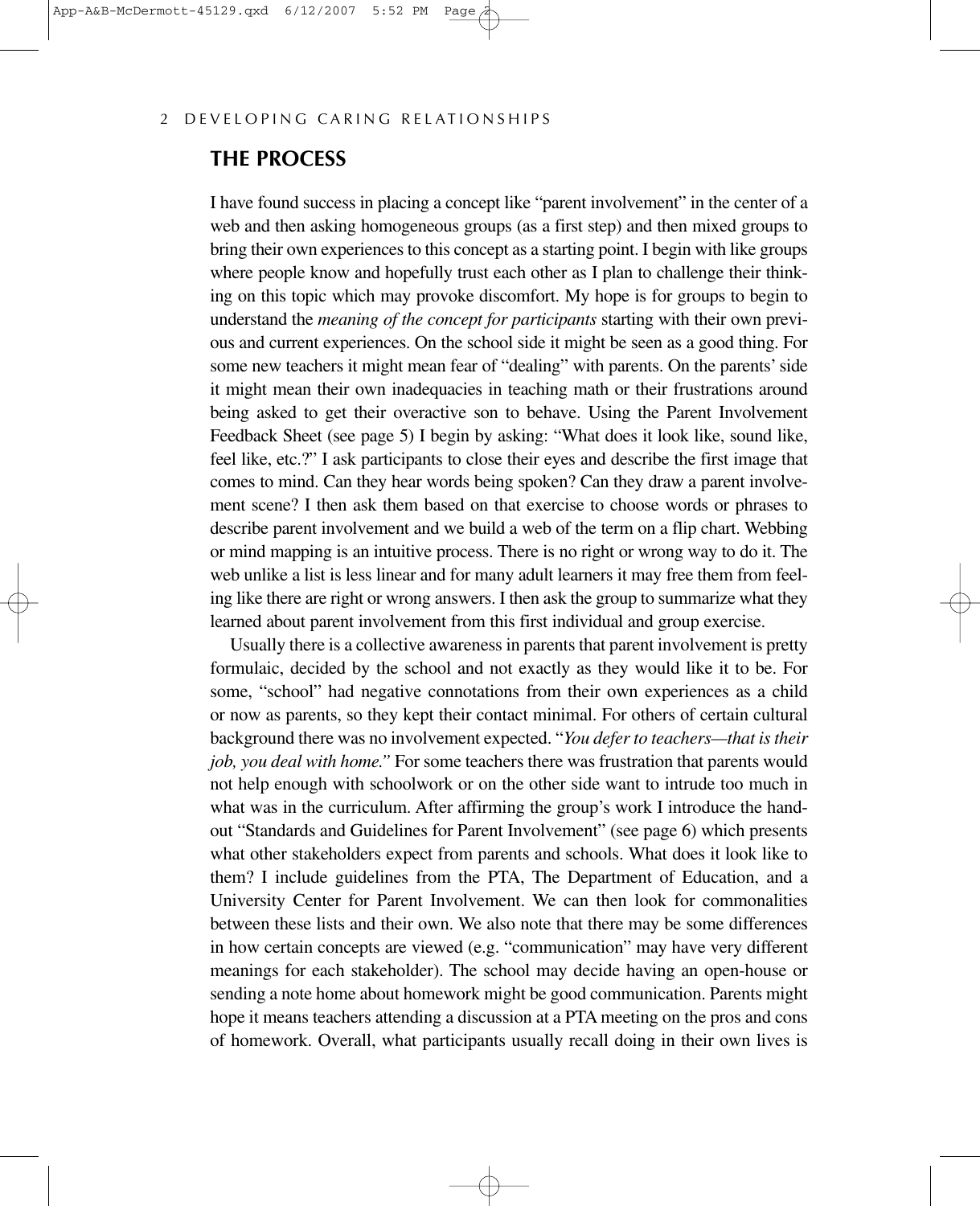## **THE PROCESS**

I have found success in placing a concept like "parent involvement" in the center of a web and then asking homogeneous groups (as a first step) and then mixed groups to bring their own experiences to this concept as a starting point. I begin with like groups where people know and hopefully trust each other as I plan to challenge their thinking on this topic which may provoke discomfort. My hope is for groups to begin to understand the *meaning of the concept for participants* starting with their own previous and current experiences. On the school side it might be seen as a good thing. For some new teachers it might mean fear of "dealing" with parents. On the parents' side it might mean their own inadequacies in teaching math or their frustrations around being asked to get their overactive son to behave. Using the Parent Involvement Feedback Sheet (see page 5) I begin by asking: "What does it look like, sound like, feel like, etc.?" I ask participants to close their eyes and describe the first image that comes to mind. Can they hear words being spoken? Can they draw a parent involvement scene? I then ask them based on that exercise to choose words or phrases to describe parent involvement and we build a web of the term on a flip chart. Webbing or mind mapping is an intuitive process. There is no right or wrong way to do it. The web unlike a list is less linear and for many adult learners it may free them from feeling like there are right or wrong answers. I then ask the group to summarize what they learned about parent involvement from this first individual and group exercise.

Usually there is a collective awareness in parents that parent involvement is pretty formulaic, decided by the school and not exactly as they would like it to be. For some, "school" had negative connotations from their own experiences as a child or now as parents, so they kept their contact minimal. For others of certain cultural background there was no involvement expected. "*You defer to teachers—that is their job, you deal with home."* For some teachers there was frustration that parents would not help enough with schoolwork or on the other side want to intrude too much in what was in the curriculum. After affirming the group's work I introduce the handout "Standards and Guidelines for Parent Involvement" (see page 6) which presents what other stakeholders expect from parents and schools. What does it look like to them? I include guidelines from the PTA, The Department of Education, and a University Center for Parent Involvement. We can then look for commonalities between these lists and their own. We also note that there may be some differences in how certain concepts are viewed (e.g. "communication" may have very different meanings for each stakeholder). The school may decide having an open-house or sending a note home about homework might be good communication. Parents might hope it means teachers attending a discussion at a PTA meeting on the pros and cons of homework. Overall, what participants usually recall doing in their own lives is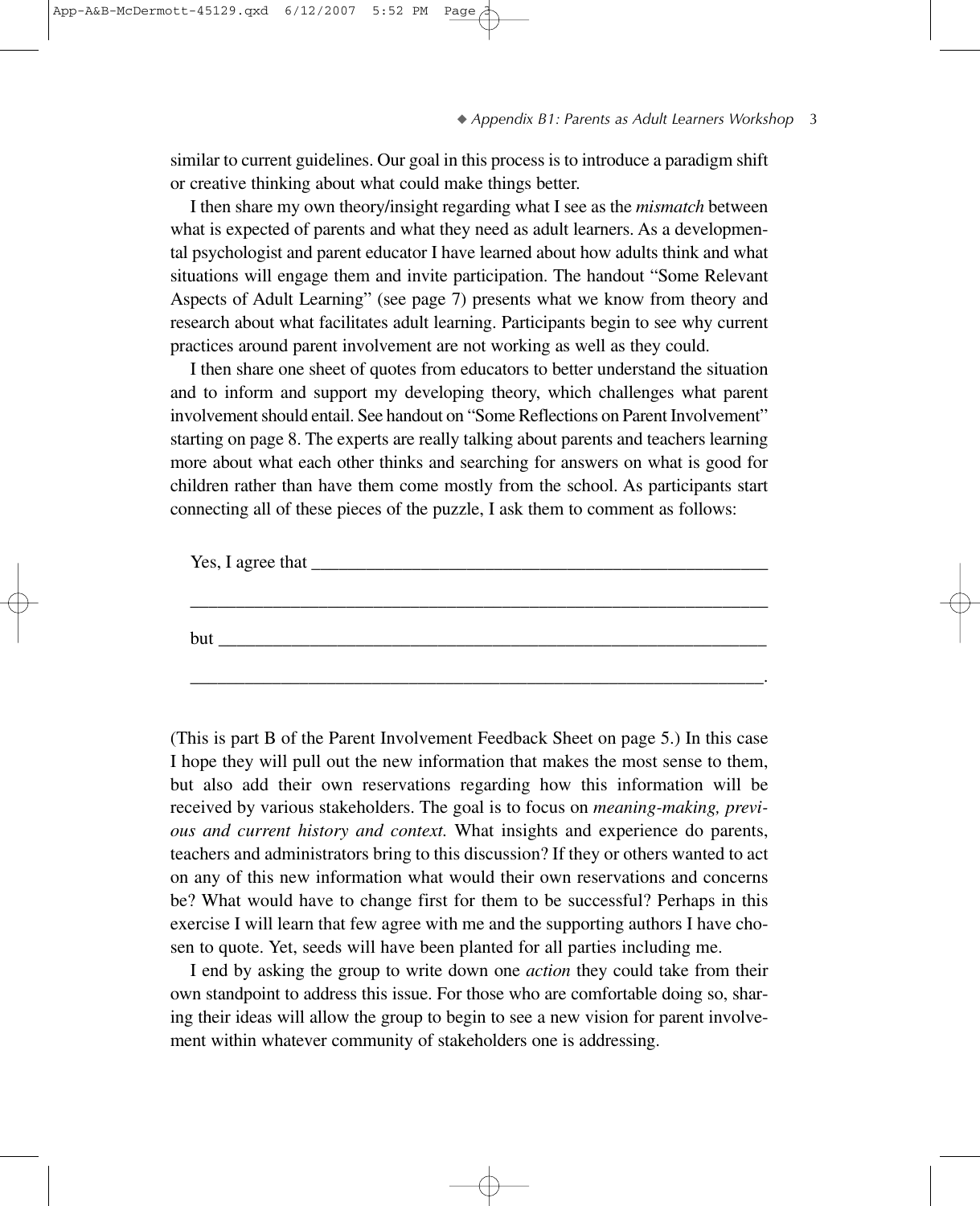similar to current guidelines. Our goal in this process is to introduce a paradigm shift or creative thinking about what could make things better.

I then share my own theory/insight regarding what I see as the *mismatch* between what is expected of parents and what they need as adult learners. As a developmental psychologist and parent educator I have learned about how adults think and what situations will engage them and invite participation. The handout "Some Relevant Aspects of Adult Learning" (see page 7) presents what we know from theory and research about what facilitates adult learning. Participants begin to see why current practices around parent involvement are not working as well as they could.

I then share one sheet of quotes from educators to better understand the situation and to inform and support my developing theory, which challenges what parent involvement should entail. See handout on "Some Reflections on Parent Involvement" starting on page 8. The experts are really talking about parents and teachers learning more about what each other thinks and searching for answers on what is good for children rather than have them come mostly from the school. As participants start connecting all of these pieces of the puzzle, I ask them to comment as follows:

| Yes, I agree that |  |  |
|-------------------|--|--|
|                   |  |  |
|                   |  |  |
|                   |  |  |
| but               |  |  |
|                   |  |  |
|                   |  |  |

(This is part B of the Parent Involvement Feedback Sheet on page 5.) In this case I hope they will pull out the new information that makes the most sense to them, but also add their own reservations regarding how this information will be received by various stakeholders. The goal is to focus on *meaning-making, previous and current history and context.* What insights and experience do parents, teachers and administrators bring to this discussion? If they or others wanted to act on any of this new information what would their own reservations and concerns be? What would have to change first for them to be successful? Perhaps in this exercise I will learn that few agree with me and the supporting authors I have chosen to quote. Yet, seeds will have been planted for all parties including me.

I end by asking the group to write down one *action* they could take from their own standpoint to address this issue. For those who are comfortable doing so, sharing their ideas will allow the group to begin to see a new vision for parent involvement within whatever community of stakeholders one is addressing.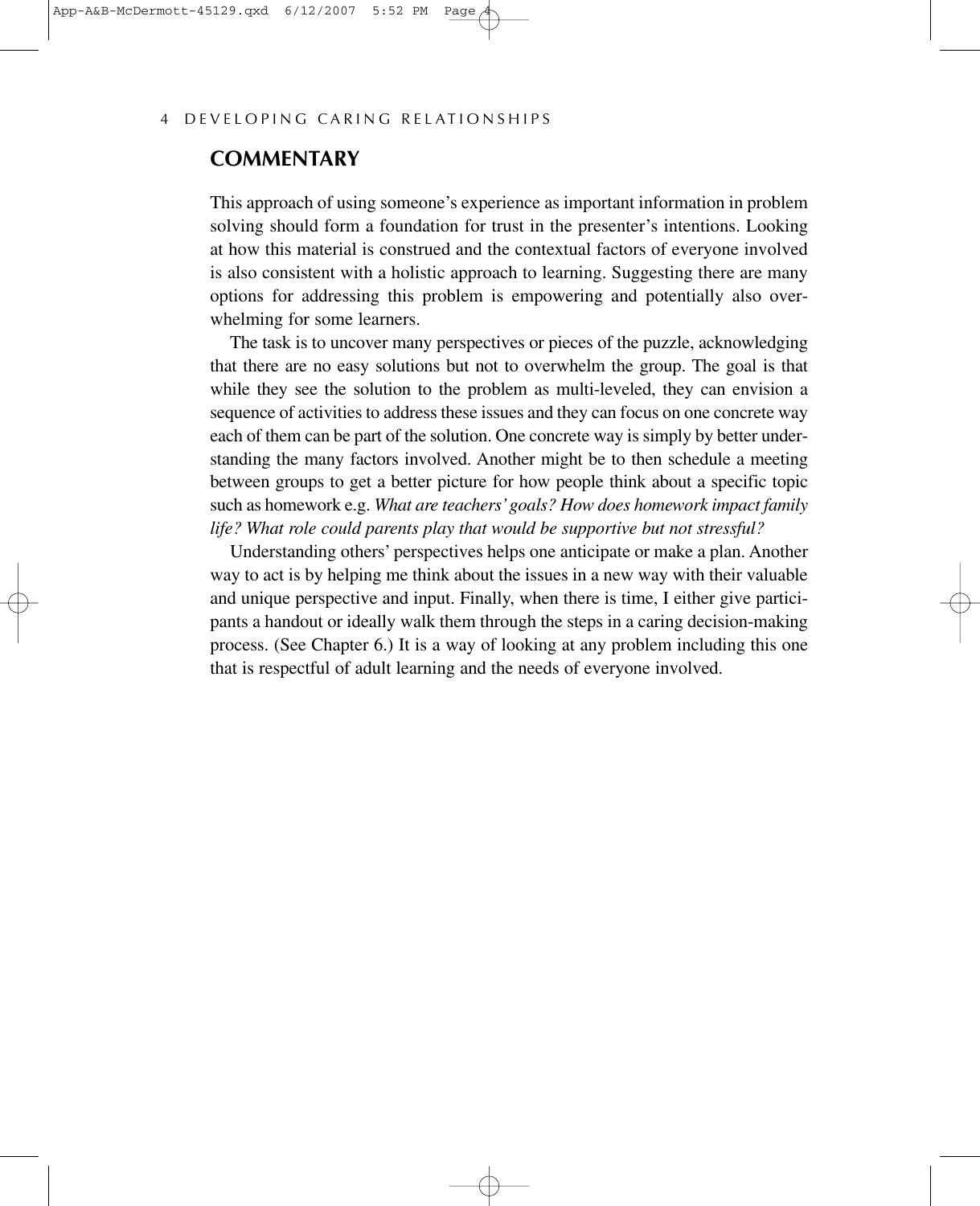#### **COMMENTARY**

This approach of using someone's experience as important information in problem solving should form a foundation for trust in the presenter's intentions. Looking at how this material is construed and the contextual factors of everyone involved is also consistent with a holistic approach to learning. Suggesting there are many options for addressing this problem is empowering and potentially also overwhelming for some learners.

The task is to uncover many perspectives or pieces of the puzzle, acknowledging that there are no easy solutions but not to overwhelm the group. The goal is that while they see the solution to the problem as multi-leveled, they can envision a sequence of activities to address these issues and they can focus on one concrete way each of them can be part of the solution. One concrete way is simply by better understanding the many factors involved. Another might be to then schedule a meeting between groups to get a better picture for how people think about a specific topic such as homework e.g. *What are teachers'goals? How does homework impact family life? What role could parents play that would be supportive but not stressful?*

Understanding others' perspectives helps one anticipate or make a plan. Another way to act is by helping me think about the issues in a new way with their valuable and unique perspective and input. Finally, when there is time, I either give participants a handout or ideally walk them through the steps in a caring decision-making process. (See Chapter 6.) It is a way of looking at any problem including this one that is respectful of adult learning and the needs of everyone involved.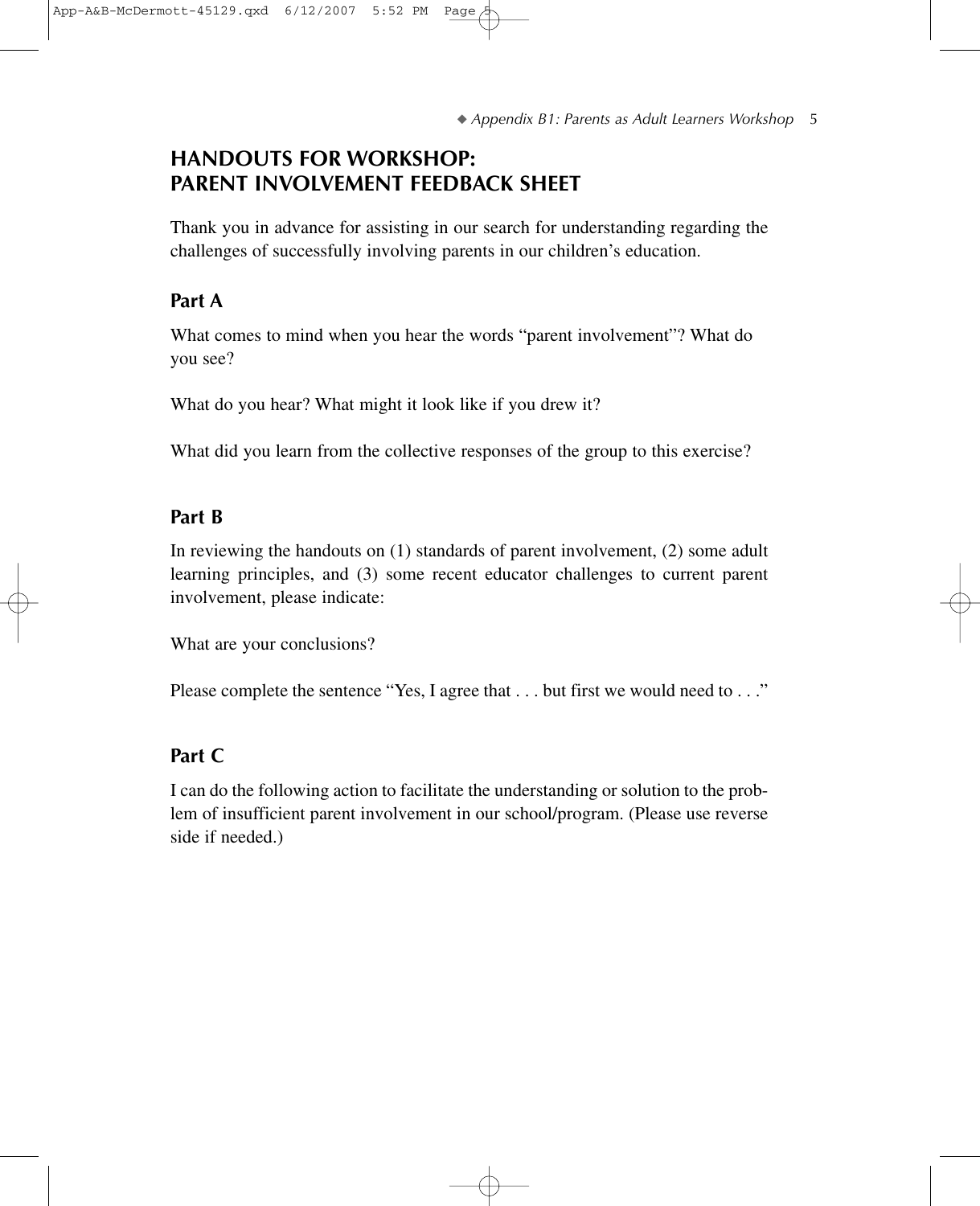## **HANDOUTS FOR WORKSHOP: PARENT INVOLVEMENT FEEDBACK SHEET**

Thank you in advance for assisting in our search for understanding regarding the challenges of successfully involving parents in our children's education.

## **Part A**

What comes to mind when you hear the words "parent involvement"? What do you see?

What do you hear? What might it look like if you drew it?

What did you learn from the collective responses of the group to this exercise?

## **Part B**

In reviewing the handouts on (1) standards of parent involvement, (2) some adult learning principles, and (3) some recent educator challenges to current parent involvement, please indicate:

What are your conclusions?

Please complete the sentence "Yes, I agree that . . . but first we would need to . . ."

## **Part C**

I can do the following action to facilitate the understanding or solution to the problem of insufficient parent involvement in our school/program. (Please use reverse side if needed.)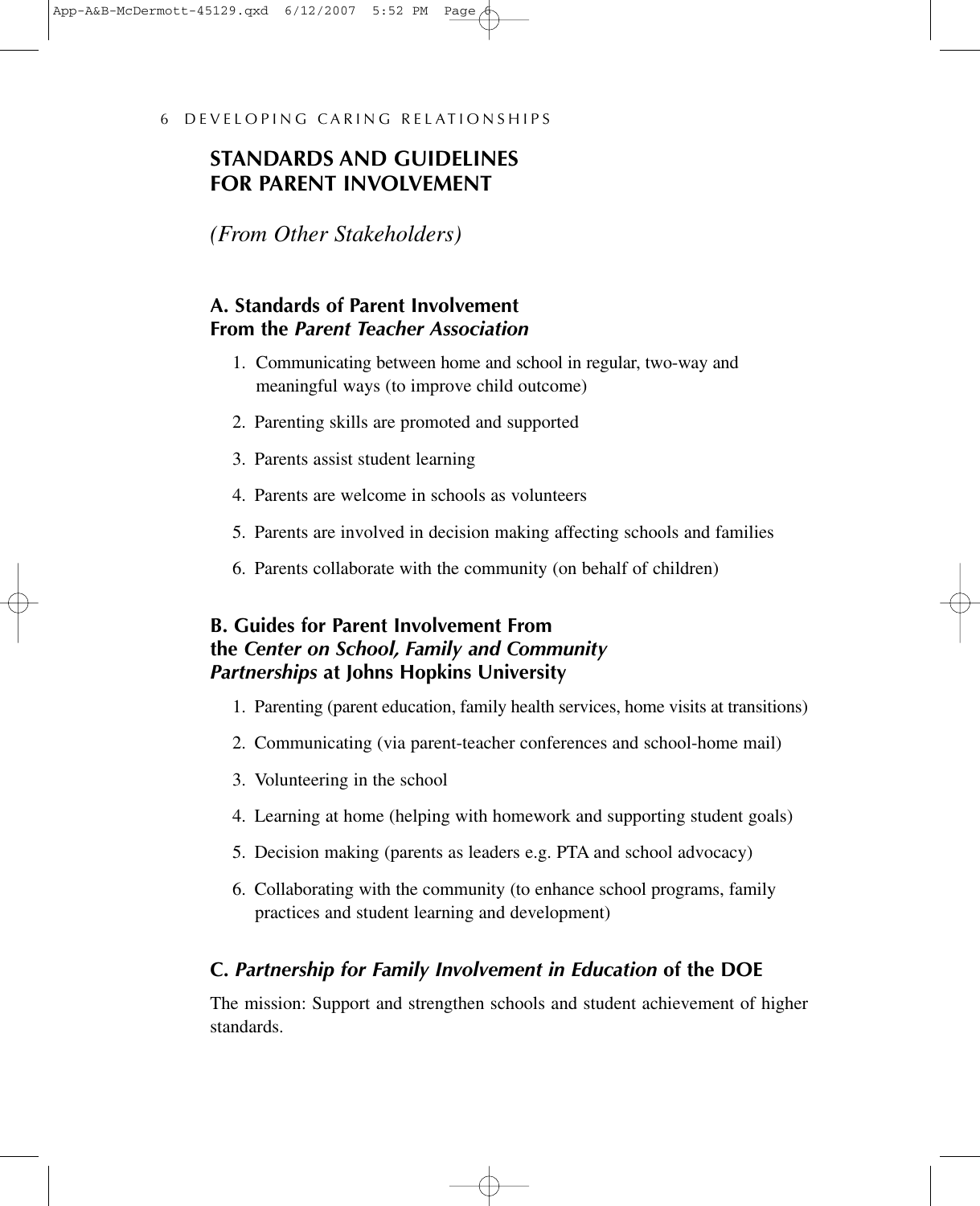## **STANDARDS AND GUIDELINES FOR PARENT INVOLVEMENT**

*(From Other Stakeholders)*

## **A. Standards of Parent Involvement From the** *Parent Teacher Association*

- 1. Communicating between home and school in regular, two-way and meaningful ways (to improve child outcome)
- 2. Parenting skills are promoted and supported
- 3. Parents assist student learning
- 4. Parents are welcome in schools as volunteers
- 5. Parents are involved in decision making affecting schools and families
- 6. Parents collaborate with the community (on behalf of children)

## **B. Guides for Parent Involvement From the** *Center on School, Family and Community Partnerships* **at Johns Hopkins University**

- 1. Parenting (parent education, family health services, home visits at transitions)
- 2. Communicating (via parent-teacher conferences and school-home mail)
- 3. Volunteering in the school
- 4. Learning at home (helping with homework and supporting student goals)
- 5. Decision making (parents as leaders e.g. PTA and school advocacy)
- 6. Collaborating with the community (to enhance school programs, family practices and student learning and development)

## **C.** *Partnership for Family Involvement in Education* **of the DOE**

The mission: Support and strengthen schools and student achievement of higher standards.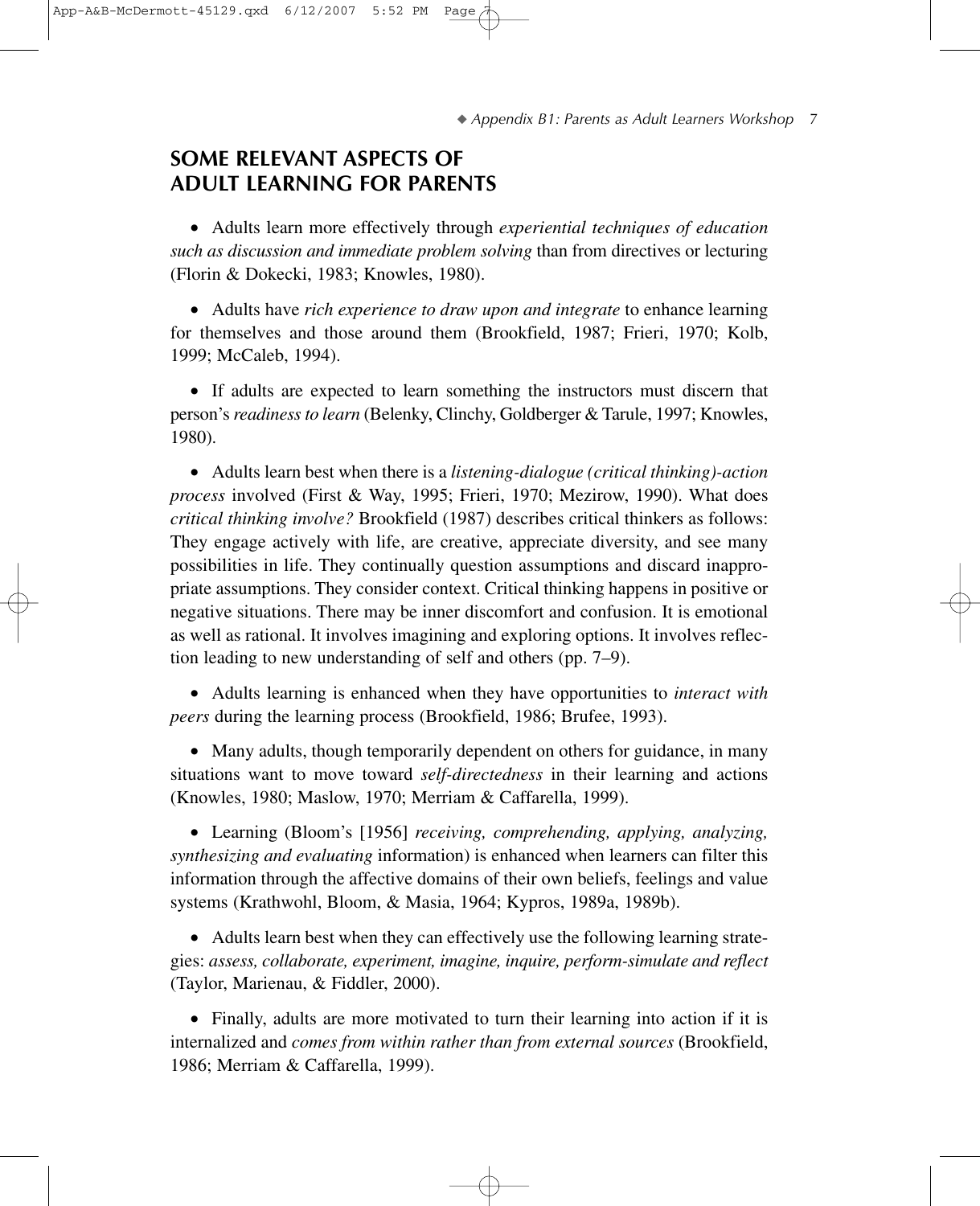## **SOME RELEVANT ASPECTS OF ADULT LEARNING FOR PARENTS**

• Adults learn more effectively through *experiential techniques of education such as discussion and immediate problem solving* than from directives or lecturing (Florin & Dokecki, 1983; Knowles, 1980).

• Adults have *rich experience to draw upon and integrate* to enhance learning for themselves and those around them (Brookfield, 1987; Frieri, 1970; Kolb, 1999; McCaleb, 1994).

• If adults are expected to learn something the instructors must discern that person's *readiness to learn* (Belenky, Clinchy, Goldberger & Tarule, 1997; Knowles, 1980).

• Adults learn best when there is a *listening-dialogue (critical thinking)-action process* involved (First & Way, 1995; Frieri, 1970; Mezirow, 1990). What does *critical thinking involve?* Brookfield (1987) describes critical thinkers as follows: They engage actively with life, are creative, appreciate diversity, and see many possibilities in life. They continually question assumptions and discard inappropriate assumptions. They consider context. Critical thinking happens in positive or negative situations. There may be inner discomfort and confusion. It is emotional as well as rational. It involves imagining and exploring options. It involves reflection leading to new understanding of self and others (pp. 7–9).

• Adults learning is enhanced when they have opportunities to *interact with peers* during the learning process (Brookfield, 1986; Brufee, 1993).

• Many adults, though temporarily dependent on others for guidance, in many situations want to move toward *self-directedness* in their learning and actions (Knowles, 1980; Maslow, 1970; Merriam & Caffarella, 1999).

• Learning (Bloom's [1956] *receiving, comprehending, applying, analyzing, synthesizing and evaluating* information) is enhanced when learners can filter this information through the affective domains of their own beliefs, feelings and value systems (Krathwohl, Bloom, & Masia, 1964; Kypros, 1989a, 1989b).

• Adults learn best when they can effectively use the following learning strategies: *assess, collaborate, experiment, imagine, inquire, perform-simulate and reflect* (Taylor, Marienau, & Fiddler, 2000).

• Finally, adults are more motivated to turn their learning into action if it is internalized and *comes from within rather than from external sources* (Brookfield, 1986; Merriam & Caffarella, 1999).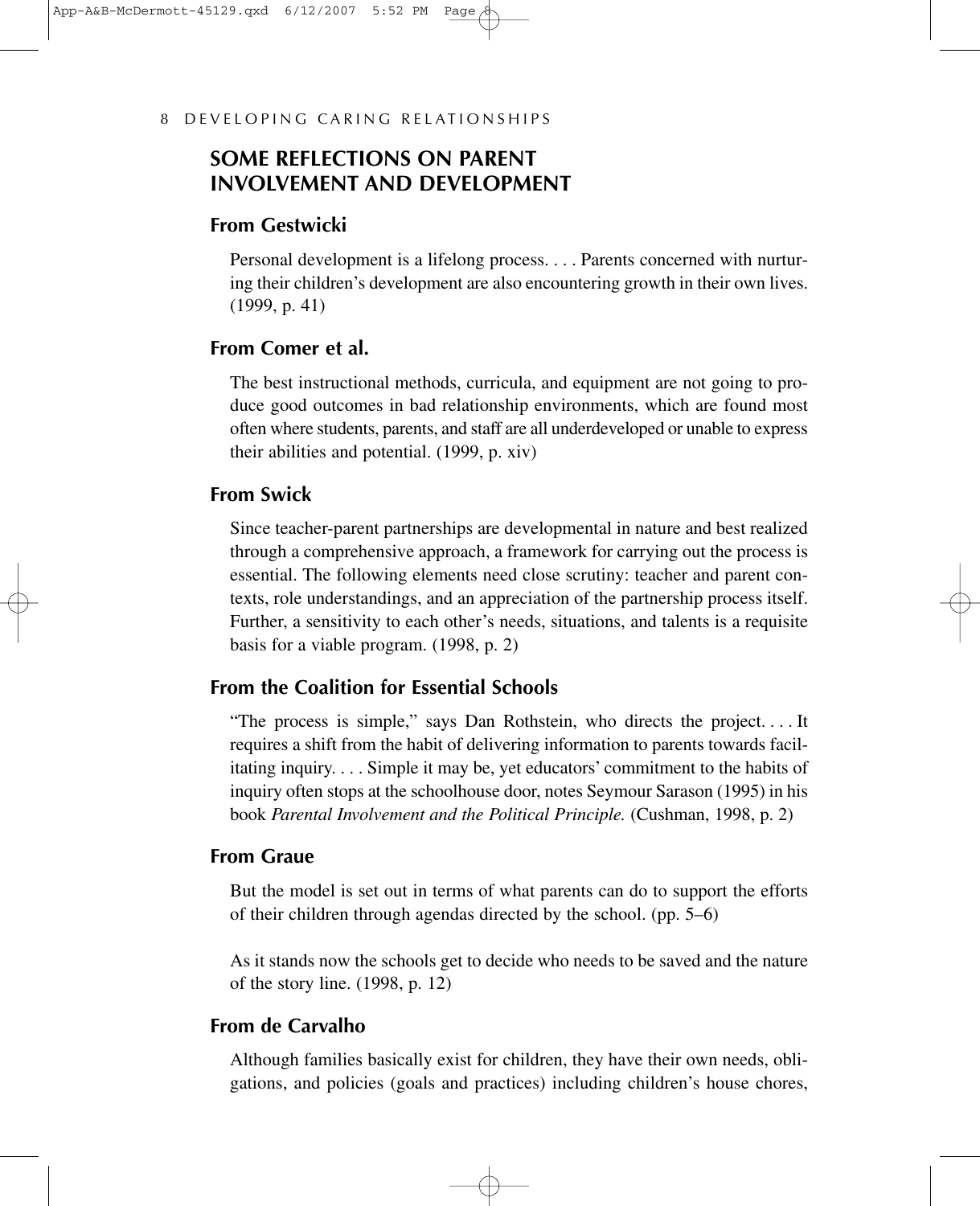## **SOME REFLECTIONS ON PARENT INVOLVEMENT AND DEVELOPMENT**

#### **From Gestwicki**

Personal development is a lifelong process.... Parents concerned with nurturing their children's development are also encountering growth in their own lives. (1999, p. 41)

## **From Comer et al.**

The best instructional methods, curricula, and equipment are not going to produce good outcomes in bad relationship environments, which are found most often where students, parents, and staff are all underdeveloped or unable to express their abilities and potential. (1999, p. xiv)

#### **From Swick**

Since teacher-parent partnerships are developmental in nature and best realized through a comprehensive approach, a framework for carrying out the process is essential. The following elements need close scrutiny: teacher and parent contexts, role understandings, and an appreciation of the partnership process itself. Further, a sensitivity to each other's needs, situations, and talents is a requisite basis for a viable program. (1998, p. 2)

## **From the Coalition for Essential Schools**

"The process is simple," says Dan Rothstein, who directs the project. . . . It requires a shift from the habit of delivering information to parents towards facilitating inquiry.... Simple it may be, yet educators' commitment to the habits of inquiry often stops at the schoolhouse door, notes Seymour Sarason (1995) in his book *Parental Involvement and the Political Principle.* (Cushman, 1998, p. 2)

#### **From Graue**

But the model is set out in terms of what parents can do to support the efforts of their children through agendas directed by the school. (pp. 5–6)

As it stands now the schools get to decide who needs to be saved and the nature of the story line. (1998, p. 12)

#### **From de Carvalho**

Although families basically exist for children, they have their own needs, obligations, and policies (goals and practices) including children's house chores,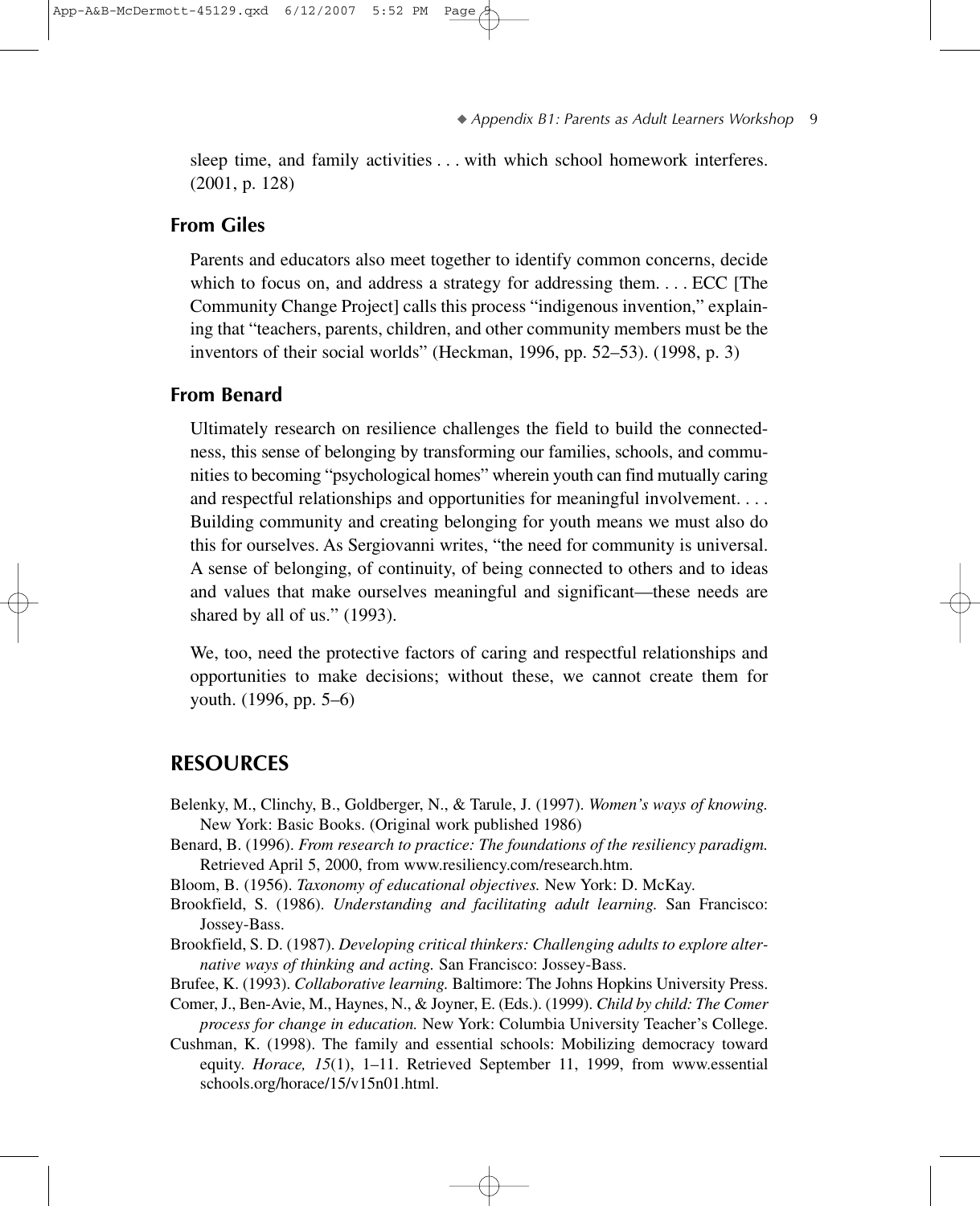sleep time, and family activities... with which school homework interferes. (2001, p. 128)

#### **From Giles**

Parents and educators also meet together to identify common concerns, decide which to focus on, and address a strategy for addressing them.... ECC [The Community Change Project] calls this process "indigenous invention," explaining that "teachers, parents, children, and other community members must be the inventors of their social worlds" (Heckman, 1996, pp. 52–53). (1998, p. 3)

#### **From Benard**

Ultimately research on resilience challenges the field to build the connectedness, this sense of belonging by transforming our families, schools, and communities to becoming "psychological homes" wherein youth can find mutually caring and respectful relationships and opportunities for meaningful involvement.... Building community and creating belonging for youth means we must also do this for ourselves. As Sergiovanni writes, "the need for community is universal. A sense of belonging, of continuity, of being connected to others and to ideas and values that make ourselves meaningful and significant—these needs are shared by all of us." (1993).

We, too, need the protective factors of caring and respectful relationships and opportunities to make decisions; without these, we cannot create them for youth. (1996, pp. 5–6)

#### **RESOURCES**

- Belenky, M., Clinchy, B., Goldberger, N., & Tarule, J. (1997). *Women's ways of knowing.* New York: Basic Books. (Original work published 1986)
- Benard, B. (1996). *From research to practice: The foundations of the resiliency paradigm.* Retrieved April 5, 2000, from www.resiliency.com/research.htm.
- Bloom, B. (1956). *Taxonomy of educational objectives.* New York: D. McKay.
- Brookfield, S. (1986). *Understanding and facilitating adult learning.* San Francisco: Jossey-Bass.
- Brookfield, S. D. (1987). *Developing critical thinkers: Challenging adults to explore alternative ways of thinking and acting.* San Francisco: Jossey-Bass.
- Brufee, K. (1993). *Collaborative learning.* Baltimore: The Johns Hopkins University Press.
- Comer, J., Ben-Avie, M., Haynes, N., & Joyner, E. (Eds.). (1999). *Child by child: The Comer process for change in education.* New York: Columbia University Teacher's College.
- Cushman, K. (1998). The family and essential schools: Mobilizing democracy toward equity. *Horace, 15*(1), 1–11. Retrieved September 11, 1999, from www.essential schools.org/horace/15/v15n01.html.